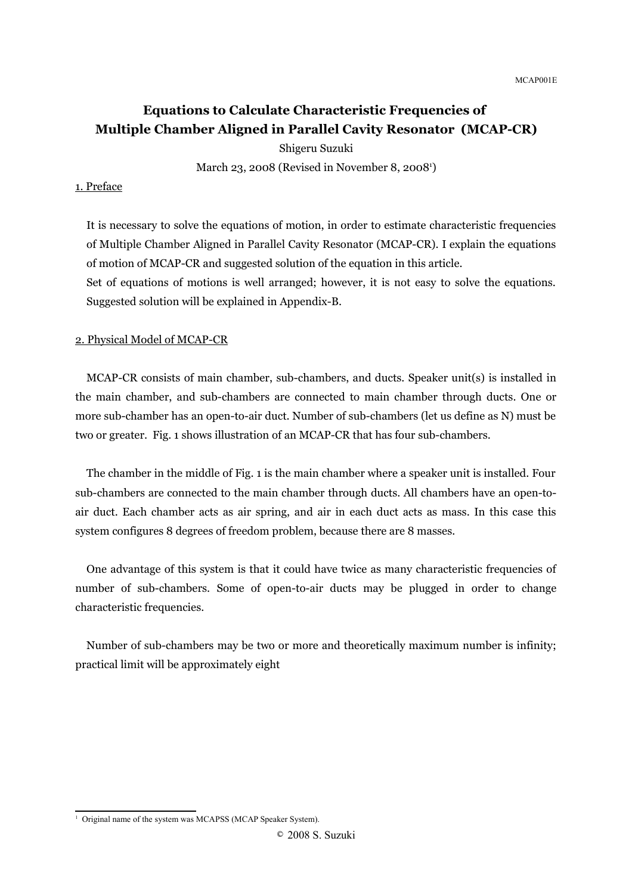# **Equations to Calculate Characteristic Frequencies of Multiple Chamber Aligned in Parallel Cavity Resonator (MCAP-CR)**

Shigeru Suzuki March 23, 2008 (Revised in November 8, 2008<sup>[1](#page-0-0)</sup>)

#### 1. Preface

It is necessary to solve the equations of motion, in order to estimate characteristic frequencies of Multiple Chamber Aligned in Parallel Cavity Resonator (MCAP-CR). I explain the equations of motion of MCAP-CR and suggested solution of the equation in this article. Set of equations of motions is well arranged; however, it is not easy to solve the equations. Suggested solution will be explained in Appendix-B.

#### 2. Physical Model of MCAP-CR

MCAP-CR consists of main chamber, sub-chambers, and ducts. Speaker unit(s) is installed in the main chamber, and sub-chambers are connected to main chamber through ducts. One or more sub-chamber has an open-to-air duct. Number of sub-chambers (let us define as N) must be two or greater. Fig. 1 shows illustration of an MCAP-CR that has four sub-chambers.

The chamber in the middle of Fig. 1 is the main chamber where a speaker unit is installed. Four sub-chambers are connected to the main chamber through ducts. All chambers have an open-toair duct. Each chamber acts as air spring, and air in each duct acts as mass. In this case this system configures 8 degrees of freedom problem, because there are 8 masses.

One advantage of this system is that it could have twice as many characteristic frequencies of number of sub-chambers. Some of open-to-air ducts may be plugged in order to change characteristic frequencies.

Number of sub-chambers may be two or more and theoretically maximum number is infinity; practical limit will be approximately eight

<span id="page-0-0"></span><sup>&</sup>lt;sup>1</sup> Original name of the system was MCAPSS (MCAP Speaker System).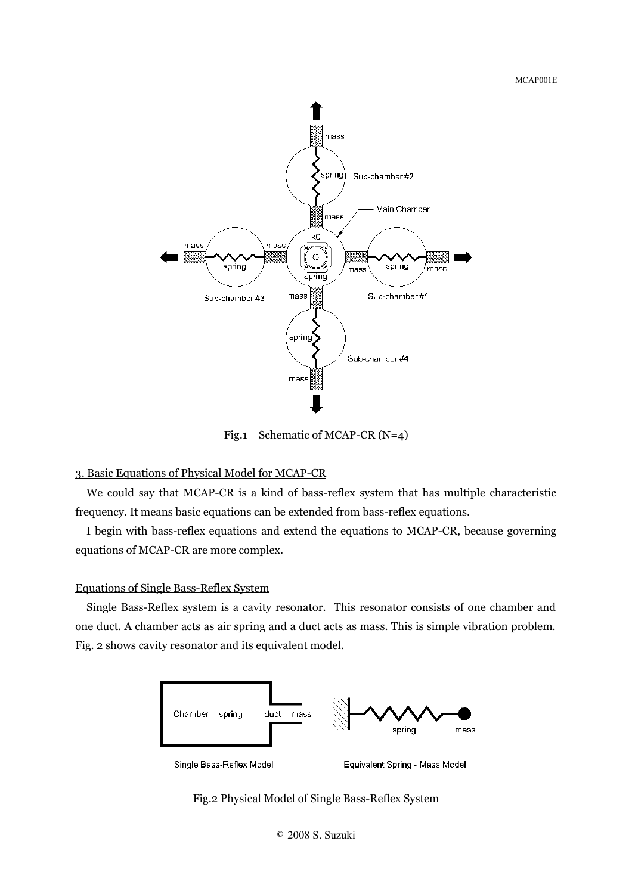

Fig.1 Schematic of MCAP-CR (N=4)

### 3. Basic Equations of Physical Model for MCAP-CR

We could say that MCAP-CR is a kind of bass-reflex system that has multiple characteristic frequency. It means basic equations can be extended from bass-reflex equations.

I begin with bass-reflex equations and extend the equations to MCAP-CR, because governing equations of MCAP-CR are more complex.

# Equations of Single Bass-Reflex System

Single Bass-Reflex system is a cavity resonator. This resonator consists of one chamber and one duct. A chamber acts as air spring and a duct acts as mass. This is simple vibration problem. Fig. 2 shows cavity resonator and its equivalent model.



Single Bass-Reflex Model

Equivalent Spring - Mass Model

Fig.2 Physical Model of Single Bass-Reflex System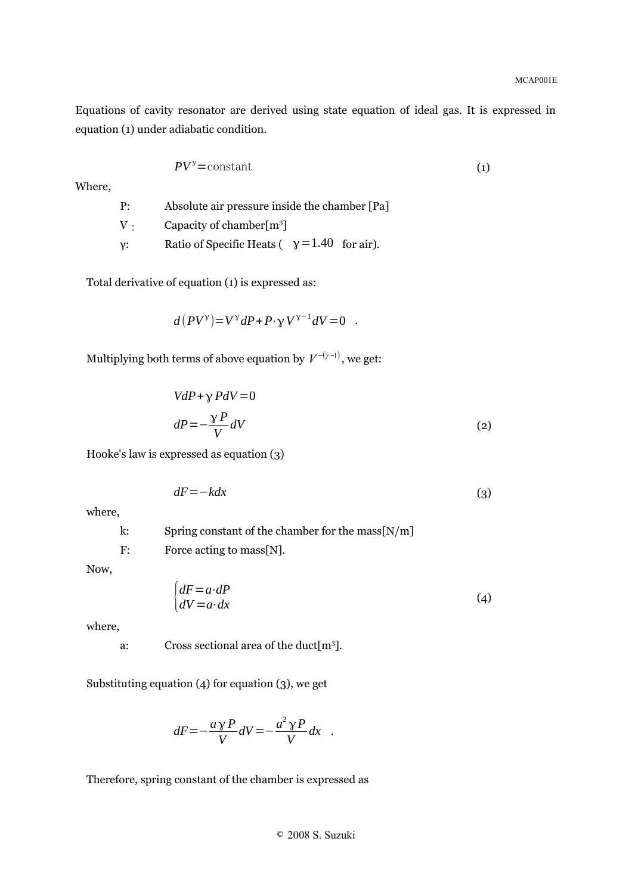Equations of cavity resonator are derived using state equation of ideal gas. It is expressed in equation (1) under adiabatic condition.

$$
PV^{\gamma} = \text{constant} \tag{1}
$$

Where,

P: Absolute air pressure inside the chamber [Pa] V : Capacity of chamber[m<sup>3</sup>] γ: Ratio of Specific Heats ( $\gamma$  = 1.40 for air).

Total derivative of equation (1) is expressed as:

$$
d(PV^{\gamma}) = V^{\gamma}dP + P \cdot \gamma V^{\gamma - 1}dV = 0 .
$$

Multiplying both terms of above equation by  $V^{-(\gamma-1)}$ , we get:

$$
VdP + \gamma PdV = 0
$$
  
\n
$$
dP = -\frac{\gamma P}{V}dV
$$
\n(2)

Hooke's law is expressed as equation (3)

$$
dF = -kdx \tag{3}
$$

where,

k: Spring constant of the chamber for the mass[N/m] F: Force acting to mass[N].

Now,

$$
\begin{cases} dF = a \cdot dP \\ dV = a \cdot dx \end{cases} \tag{4}
$$

where,

a: Cross sectional area of the duct[m<sup>3</sup> ].

Substituting equation (4) for equation (3), we get

$$
dF = -\frac{ay P}{V}dV = -\frac{a^2 y P}{V}dx
$$

Therefore, spring constant of the chamber is expressed as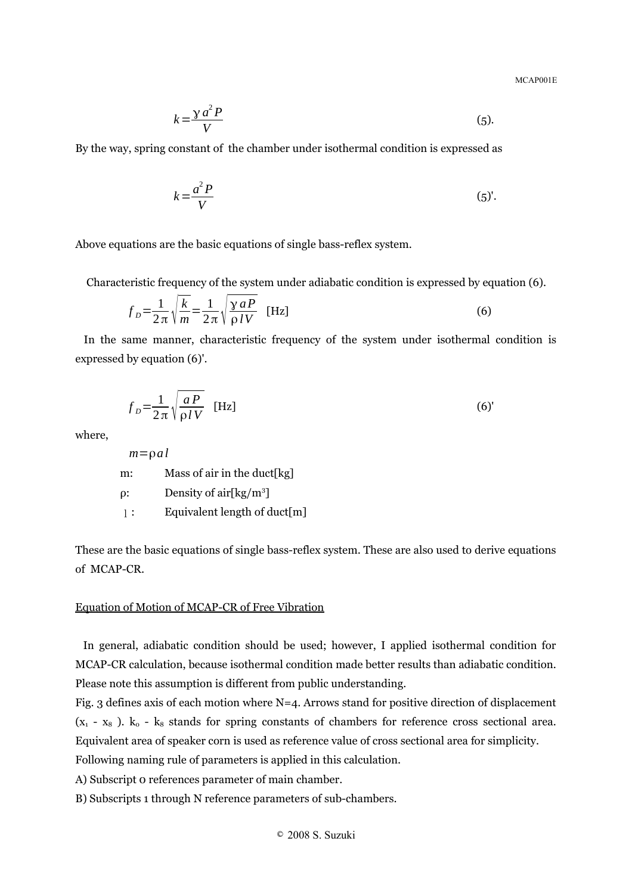$$
k = \frac{\gamma a^2 P}{V} \tag{5}
$$

By the way, spring constant of the chamber under isothermal condition is expressed as

$$
k = \frac{a^2 P}{V} \tag{5'}
$$

Above equations are the basic equations of single bass-reflex system.

Characteristic frequency of the system under adiabatic condition is expressed by equation (6).

$$
f_D = \frac{1}{2\pi} \sqrt{\frac{k}{m}} = \frac{1}{2\pi} \sqrt{\frac{\gamma a P}{\rho IV}} \quad \text{[Hz]}
$$
 (6)

In the same manner, characteristic frequency of the system under isothermal condition is expressed by equation (6)'.

$$
f_D = \frac{1}{2\pi} \sqrt{\frac{aP}{\rho IV}} \quad \text{[Hz]}
$$
 (6)

where,

 $m = \rho a l$ m: Mass of air in the duct[kg]  $ρ:$  Density of air[kg/m<sup>3</sup>] l: Equivalent length of duct[m]

These are the basic equations of single bass-reflex system. These are also used to derive equations of MCAP-CR.

#### Equation of Motion of MCAP-CR of Free Vibration

In general, adiabatic condition should be used; however, I applied isothermal condition for MCAP-CR calculation, because isothermal condition made better results than adiabatic condition. Please note this assumption is different from public understanding.

Fig. 3 defines axis of each motion where N=4. Arrows stand for positive direction of displacement  $(x_1 - x_8)$ .  $k_0 - k_8$  stands for spring constants of chambers for reference cross sectional area. Equivalent area of speaker corn is used as reference value of cross sectional area for simplicity.

Following naming rule of parameters is applied in this calculation.

A) Subscript 0 references parameter of main chamber.

B) Subscripts 1 through N reference parameters of sub-chambers.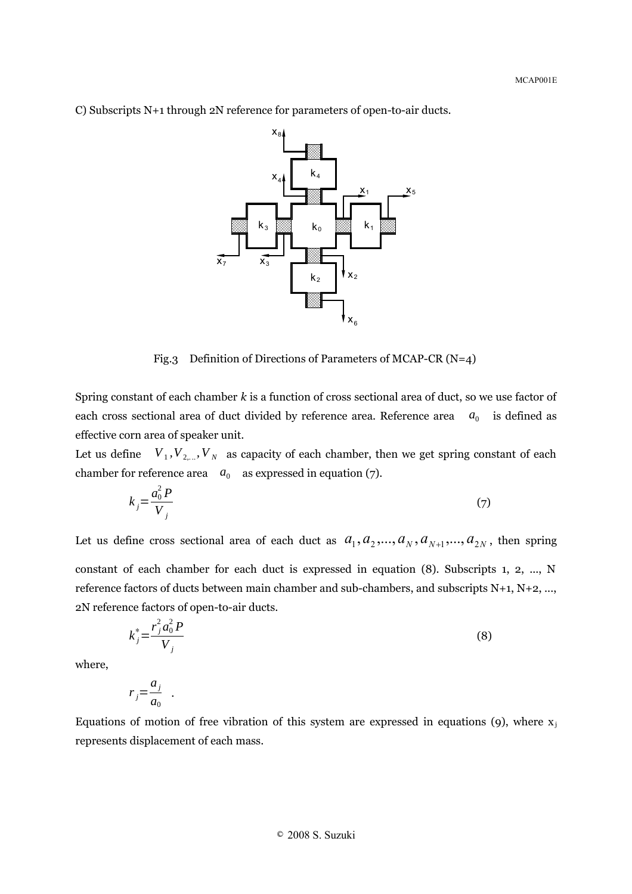

C) Subscripts N+1 through 2N reference for parameters of open-to-air ducts.

Fig.3 Definition of Directions of Parameters of MCAP-CR (N=4)

Spring constant of each chamber *k* is a function of cross sectional area of duct, so we use factor of each cross sectional area of duct divided by reference area. Reference area  $a_0$  is defined as effective corn area of speaker unit.

Let us define  $V_1, V_{2,...}, V_N$  as capacity of each chamber, then we get spring constant of each chamber for reference area  $a_0$  as expressed in equation (7).

$$
k_j = \frac{a_0^2 P}{V_j} \tag{7}
$$

Let us define cross sectional area of each duct as  $a_1, a_2, ..., a_N, a_{N+1}, ..., a_{2N}$ , then spring constant of each chamber for each duct is expressed in equation (8). Subscripts 1, 2, ..., N reference factors of ducts between main chamber and sub-chambers, and subscripts N+1, N+2, ..., 2N reference factors of open-to-air ducts.

$$
k_j^* = \frac{r_j^2 a_0^2 P}{V_j} \tag{8}
$$

where,

$$
r_j = \frac{a_j}{a_0} \quad .
$$

Equations of motion of free vibration of this system are expressed in equations (9), where  $x_j$ represents displacement of each mass.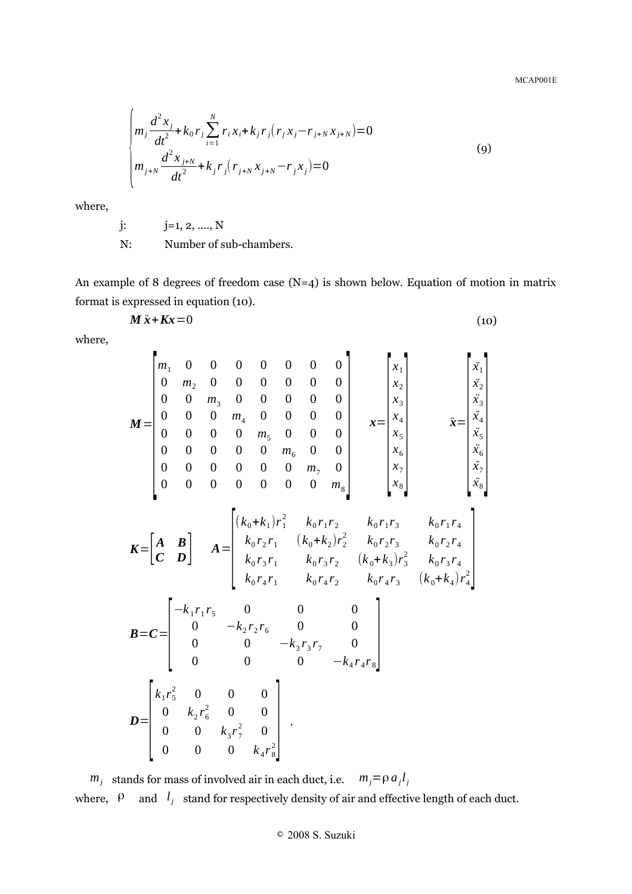$\blacksquare$ 

$$
\begin{cases}\nm_j \frac{d^2 x_j}{dt^2} + k_0 r_j \sum_{i=1}^N r_i x_i + k_j r_j (r_j x_j - r_{j+N} x_{j+N}) = 0 \\
m_{j+N} \frac{d^2 x_{j+N}}{dt^2} + k_j r_j (r_{j+N} x_{j+N} - r_j x_j) = 0\n\end{cases}
$$
\n(9)

where,

$$
j: j=1, 2, ..., N
$$

N: Number of sub-chambers.

 $\blacksquare$ 

An example of 8 degrees of freedom case  $(N=4)$  is shown below. Equation of motion in matrix format is expressed in equation (10).

$$
M\ddot{x} + Kx = 0 \tag{10}
$$

where,

$$
M = \begin{bmatrix} m_1 & 0 & 0 & 0 & 0 & 0 & 0 & 0 \\ 0 & m_2 & 0 & 0 & 0 & 0 & 0 & 0 \\ 0 & 0 & m_3 & 0 & 0 & 0 & 0 & 0 \\ 0 & 0 & 0 & m_4 & 0 & 0 & 0 & 0 \\ 0 & 0 & 0 & 0 & m_5 & 0 & 0 & 0 \\ 0 & 0 & 0 & 0 & 0 & m_6 & 0 & 0 \\ 0 & 0 & 0 & 0 & 0 & 0 & m_7 & 0 \\ 0 & 0 & 0 & 0 & 0 & 0 & 0 & m_8 \end{bmatrix} \qquad x = \begin{bmatrix} x_1 \\ x_2 \\ x_3 \\ x_4 \\ x_5 \\ x_6 \\ x_7 \\ x_8 \\ x_9 \\ x_1 \\ x_8 \\ x_9 \\ x_1 \\ x_8 \\ x_9 \\ x_1 \\ x_1 \\ x_2 \\ x_3 \\ x_4 \\ x_5 \\ x_6 \\ x_7 \\ x_8 \\ x_9 \\ x_1 \\ x_2 \\ x_3 \\ x_4 \\ x_5 \\ x_6 \\ x_7 \\ x_8 \\ x_9 \\ x_0 \\ x_1 \\ x_2 \\ x_3 \\ x_4 \\ x_5 \\ x_6 \\ x_7 \\ x_8 \\ x_9 \\ x_0 \\ x_1 \\ x_2 \\ x_3 \\ x_4 \\ x_5 \\ x_6 \\ x_7 \\ x_8 \\ x_9 \\ x_0 \\ x_1 \\ x_2 \\ x_3 \\ x_4 \\ x_5 \\ x_6 \\ x_7 \\ x_8 \\ x_9 \\ x_0 \\ x_1 \\ x_2 \\ x_3 \\ x_4 \\ x_5 \\ x_6 \\ x_7 \\ x_8 \\ x_9 \\ x_0 \\ x_1 \\ x_2 \\ x_3 \\ x_4 \\ x_5 \\ x_6 \\ x_7 \\ x_9 \\ x_0 \\ x_1 \\ x_2 \\ x_3 \\ x_4 \\ x_5 \\ x_6 \\ x_7 \\ x_8 \\ x_9 \\ x_0 \\ x_1 \\ x_2 \\ x_3 \\ x_4 \\ x_5 \\ x_6 \\ x_7 \\ x_8 \\ x_9 \\ x_0 \\ x_1 \\ x_2 \\ x_3 \\ x_4 \\ x_5 \\ x_6 \\ x_7 \\ x_8 \\ x_9 \\ x_0 \\ x_0 \\ x_1 \\ x_2 \\ x_3 \\ x_4 \\ x_5 \\ x_6 \\ x_7 \\ x_8 \\ x_9 \\ x_0 \\ x_1 \\ x_2 \\ x_3 \\ x_4 \\ x_5 \\ x_6 \\ x_7 \\ x_8 \\ x_9
$$

$$
\mathbf{K} = \begin{bmatrix} \mathbf{A} & \mathbf{B} \\ \mathbf{C} & \mathbf{D} \end{bmatrix} \quad \mathbf{A} = \begin{bmatrix} (k_0 + k_1) r_1^2 & k_0 r_1 r_2 & k_0 r_1 r_3 & k_0 r_1 r_4 \\ k_0 r_2 r_1 & (k_0 + k_2) r_2^2 & k_0 r_2 r_3 & k_0 r_2 r_4 \\ k_0 r_3 r_1 & k_0 r_3 r_2 & (k_0 + k_3) r_3^2 & k_0 r_3 r_4 \\ k_0 r_4 r_1 & k_0 r_4 r_2 & k_0 r_4 r_3 & (k_0 + k_4) r_4^2 \end{bmatrix}
$$
\n
$$
\mathbf{B} = \mathbf{C} = \begin{bmatrix} -k_1 r_1 r_5 & 0 & 0 & 0 \\ 0 & -k_2 r_2 r_6 & 0 & 0 \\ 0 & 0 & -k_3 r_3 r_7 & 0 \\ 0 & 0 & 0 & -k_4 r_4 r_8 \end{bmatrix}
$$
\n
$$
\mathbf{D} = \begin{bmatrix} k_1 r_5^2 & 0 & 0 & 0 \\ 0 & k_2 r_6^2 & 0 & 0 \\ 0 & 0 & k_3 r_7^2 & 0 \\ 0 & 0 & 0 & k_4 r_8^2 \end{bmatrix} \quad .
$$

*m*<sub>*j*</sub> stands for mass of involved air in each duct, i.e.  $m_j = \rho a_j l_j$ where,  $\beta$  and  $l_j$  stand for respectively density of air and effective length of each duct.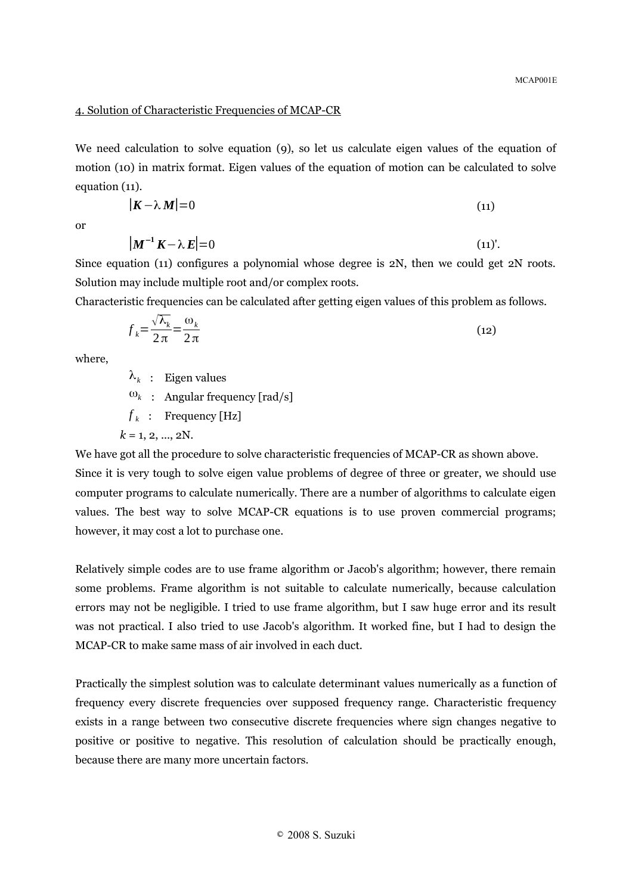#### 4. Solution of Characteristic Frequencies of MCAP-CR

We need calculation to solve equation (9), so let us calculate eigen values of the equation of motion (10) in matrix format. Eigen values of the equation of motion can be calculated to solve equation (11).

$$
|\mathbf{K} - \lambda \mathbf{M}| = 0 \tag{11}
$$

or

$$
|\mathbf{M}^{-1}\mathbf{K} - \lambda \mathbf{E}| = 0 \tag{11'}
$$

Since equation (11) configures a polynomial whose degree is  $2N$ , then we could get  $2N$  roots. Solution may include multiple root and/or complex roots.

Characteristic frequencies can be calculated after getting eigen values of this problem as follows.

$$
f_k = \frac{\sqrt{\lambda_k}}{2\pi} = \frac{\omega_k}{2\pi}
$$
\n(12)

where,

 $\lambda_k$  : Eigen values

 $\omega_k$  : Angular frequency [rad/s]

 $f_k$  : Frequency [Hz]

 $k = 1, 2, ..., 2N$ .

We have got all the procedure to solve characteristic frequencies of MCAP-CR as shown above.

Since it is very tough to solve eigen value problems of degree of three or greater, we should use computer programs to calculate numerically. There are a number of algorithms to calculate eigen values. The best way to solve MCAP-CR equations is to use proven commercial programs; however, it may cost a lot to purchase one.

Relatively simple codes are to use frame algorithm or Jacob's algorithm; however, there remain some problems. Frame algorithm is not suitable to calculate numerically, because calculation errors may not be negligible. I tried to use frame algorithm, but I saw huge error and its result was not practical. I also tried to use Jacob's algorithm. It worked fine, but I had to design the MCAP-CR to make same mass of air involved in each duct.

Practically the simplest solution was to calculate determinant values numerically as a function of frequency every discrete frequencies over supposed frequency range. Characteristic frequency exists in a range between two consecutive discrete frequencies where sign changes negative to positive or positive to negative. This resolution of calculation should be practically enough, because there are many more uncertain factors.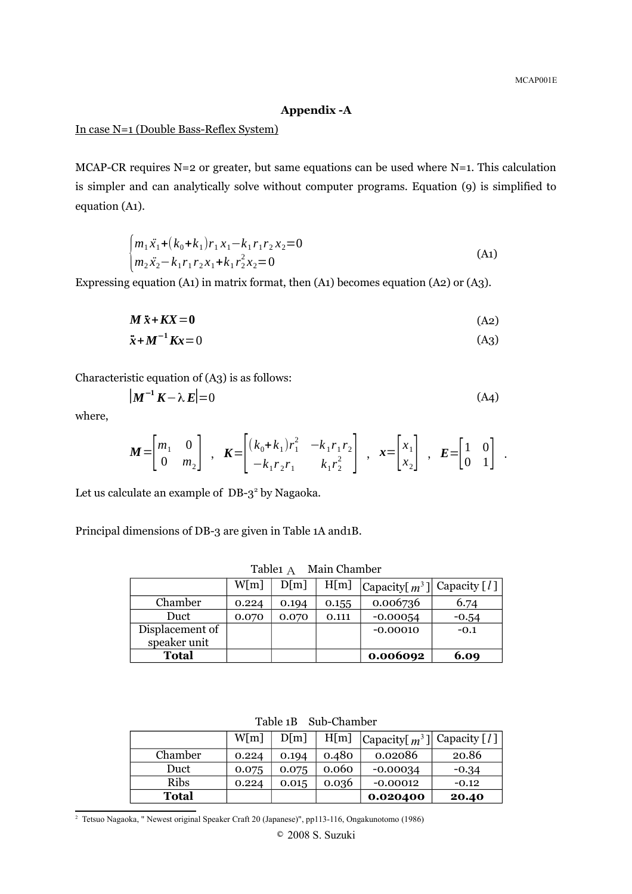# **Appendix -A**

In case N=1 (Double Bass-Reflex System)

MCAP-CR requires  $N=2$  or greater, but same equations can be used where  $N=1$ . This calculation is simpler and can analytically solve without computer programs. Equation (9) is simplified to equation (A1).

$$
\begin{cases} m_1 \ddot{x}_1 + (k_0 + k_1) r_1 x_1 - k_1 r_1 r_2 x_2 = 0 \\ m_2 \ddot{x}_2 - k_1 r_1 r_2 x_1 + k_1 r_2^2 x_2 = 0 \end{cases}
$$
 (A1)

Expressing equation (A1) in matrix format, then (A1) becomes equation (A2) or (A3).

$$
M\ddot{x} + KX = 0 \tag{A2}
$$

$$
\ddot{\mathbf{x}} + \mathbf{M}^{-1}\mathbf{K}\mathbf{x} = 0 \tag{A3}
$$

Characteristic equation of (A3) is as follows:

$$
\left| \mathbf{M}^{-1} \mathbf{K} - \lambda \mathbf{E} \right| = 0 \tag{A4}
$$

where,

$$
\mathbf{M} = \begin{bmatrix} m_1 & 0 \\ 0 & m_2 \end{bmatrix} , \quad \mathbf{K} = \begin{bmatrix} (k_0 + k_1) r_1^2 & -k_1 r_1 r_2 \\ -k_1 r_2 r_1 & k_1 r_2^2 \end{bmatrix} , \quad \mathbf{x} = \begin{bmatrix} x_1 \\ x_2 \end{bmatrix} , \quad \mathbf{E} = \begin{bmatrix} 1 & 0 \\ 0 & 1 \end{bmatrix} .
$$

Let us calculate an example of  $DB-3^2$  $DB-3^2$  by Nagaoka.

Principal dimensions of DB-3 are given in Table 1A and1B.

| Tablet A<br>Maill Chailipei     |       |       |       |                                                         |         |  |  |  |
|---------------------------------|-------|-------|-------|---------------------------------------------------------|---------|--|--|--|
|                                 | W[m]  | D[m]  | H[m]  | Capacity $\left[n^3\right]$   Capacity $\left[l\right]$ |         |  |  |  |
| Chamber                         | 0.224 | 0.194 | 0.155 | 0.006736                                                | 6.74    |  |  |  |
| Duct                            | 0.070 | 0.070 | 0.111 | $-0.00054$                                              | $-0.54$ |  |  |  |
| Displacement of<br>speaker unit |       |       |       | $-0.00010$                                              | $-0.1$  |  |  |  |

**Total 0.006092 6.09**

Table1 A Main Chamber

| Table 1B Sub-Chamber |       |       |       |                                     |         |  |  |  |
|----------------------|-------|-------|-------|-------------------------------------|---------|--|--|--|
|                      | W[m]  | D[m]  | H[m]  | Capacity[ $m^3$ ]  Capacity [ $l$ ] |         |  |  |  |
| Chamber              | 0.224 | 0.194 | 0.480 | 0.02086                             | 20.86   |  |  |  |
| Duct                 | 0.075 | 0.075 | 0.060 | $-0.00034$                          | $-0.34$ |  |  |  |
| <b>Ribs</b>          | 0.224 | 0.015 | 0.036 | $-0.00012$                          | $-0.12$ |  |  |  |
| <b>Total</b>         |       |       |       | 0.020400                            | 20.40   |  |  |  |

<span id="page-7-0"></span><sup>2</sup> Tetsuo Nagaoka, " Newest original Speaker Craft 20 (Japanese)", pp113-116, Ongakunotomo (1986)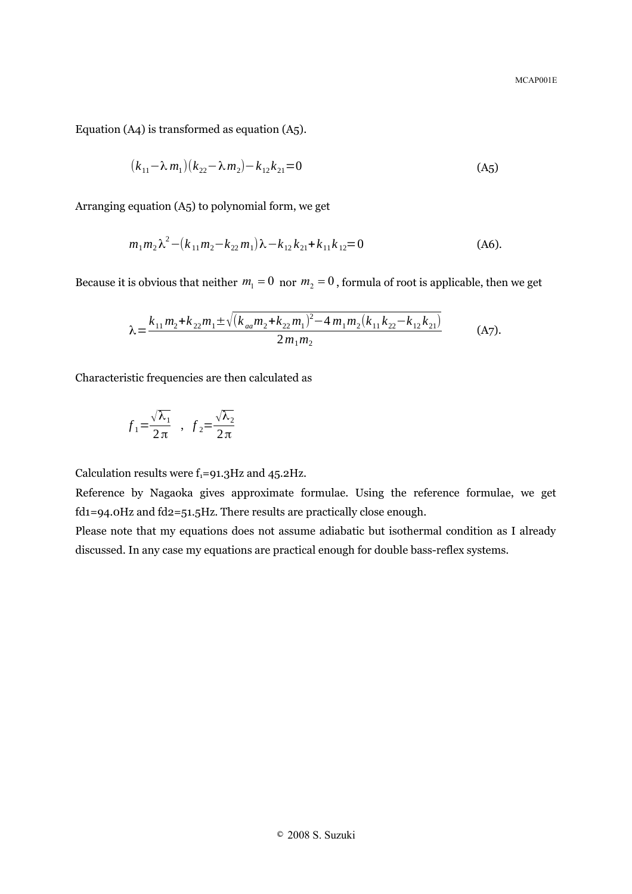Equation (A4) is transformed as equation (A5).

$$
(k_{11} - \lambda m_1)(k_{22} - \lambda m_2) - k_{12}k_{21} = 0
$$
\n(A5)

Arranging equation (A5) to polynomial form, we get

$$
m_1 m_2 \lambda^2 - (k_{11} m_2 - k_{22} m_1) \lambda - k_{12} k_{21} + k_{11} k_{12} = 0
$$
 (A6).

Because it is obvious that neither  $m_1 = 0$  nor  $m_2 = 0$ , formula of root is applicable, then we get

$$
\lambda = \frac{k_{11}m_2 + k_{22}m_1 \pm \sqrt{(k_{aa}m_2 + k_{22}m_1)^2 - 4m_1m_2(k_{11}k_{22} - k_{12}k_{21})}}{2m_1m_2}
$$
 (A7).

Characteristic frequencies are then calculated as

$$
f_1 = \frac{\sqrt{\lambda_1}}{2\pi} , \quad f_2 = \frac{\sqrt{\lambda_2}}{2\pi}
$$

Calculation results were  $f_1=91.3\text{Hz}$  and 45.2Hz.

Reference by Nagaoka gives approximate formulae. Using the reference formulae, we get fd1=94.0Hz and fd2=51.5Hz. There results are practically close enough.

Please note that my equations does not assume adiabatic but isothermal condition as I already discussed. In any case my equations are practical enough for double bass-reflex systems.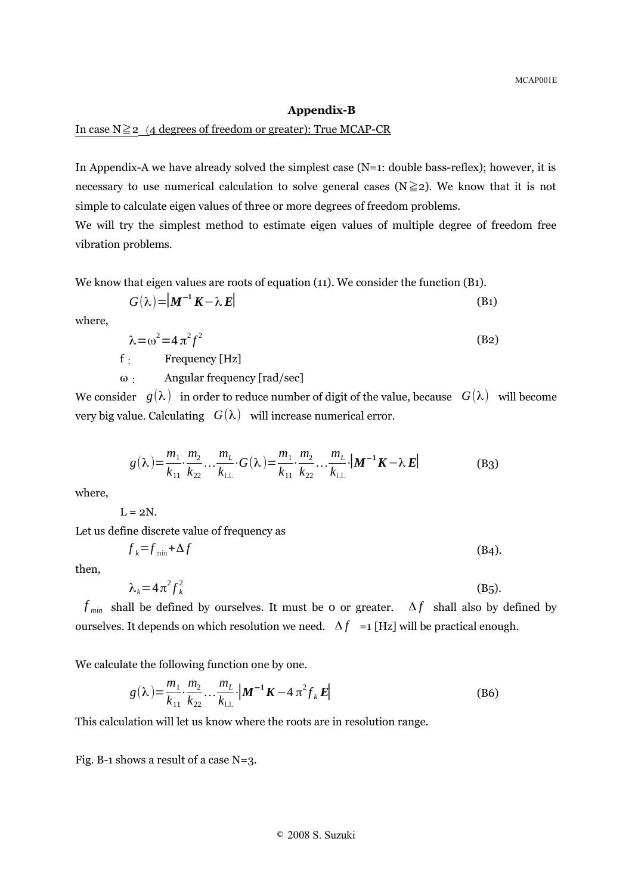#### **Appendix-B**

#### In case  $N \geq 2$  (4 degrees of freedom or greater): True MCAP-CR

In Appendix-A we have already solved the simplest case (N=1: double bass-reflex); however, it is necessary to use numerical calculation to solve general cases ( $N \ge 2$ ). We know that it is not simple to calculate eigen values of three or more degrees of freedom problems.

We will try the simplest method to estimate eigen values of multiple degree of freedom free vibration problems.

We know that eigen values are roots of equation (11). We consider the function (B1).

$$
G(\lambda) = |\mathbf{M}^{-1} \mathbf{K} - \lambda \mathbf{E}| \tag{B1}
$$

where,

$$
\lambda = \omega^2 = 4 \pi^2 f^2 \tag{B2}
$$

f: Frequency [Hz]

ω: Angular frequency [rad/sec]

We consider  $g(\lambda)$  in order to reduce number of digit of the value, because  $G(\lambda)$  will become very big value. Calculating  $G(\lambda)$  will increase numerical error.

$$
g(\lambda) = \frac{m_1}{k_{11}} \cdot \frac{m_2}{k_{22}} \cdot \cdot \cdot \frac{m_L}{k_{LL}} \cdot G(\lambda) = \frac{m_1}{k_{11}} \cdot \frac{m_2}{k_{22}} \cdot \cdot \cdot \frac{m_L}{k_{LL}} \cdot |M^{-1}K - \lambda E|
$$
(B3)

where,

$$
L=2N.
$$

Let us define discrete value of frequency as

$$
f_k = f_{\min} + \Delta f \tag{B4}
$$

then,

$$
\lambda_k = 4\pi^2 f_k^2 \tag{B5.}
$$

*f*  $_{min}$  shall be defined by ourselves. It must be 0 or greater.  $\Delta f$  shall also by defined by ourselves. It depends on which resolution we need.  $\Delta f =1$  [Hz] will be practical enough.

We calculate the following function one by one.

$$
g(\lambda) = \frac{m_1}{k_{11}} \cdot \frac{m_2}{k_{22}} \cdot \cdot \cdot \frac{m_L}{k_{LL}} \cdot \left| \mathbf{M}^{-1} \mathbf{K} - 4 \pi^2 f_k \mathbf{E} \right|
$$
 (B6)

This calculation will let us know where the roots are in resolution range.

Fig. B-1 shows a result of a case N=3.